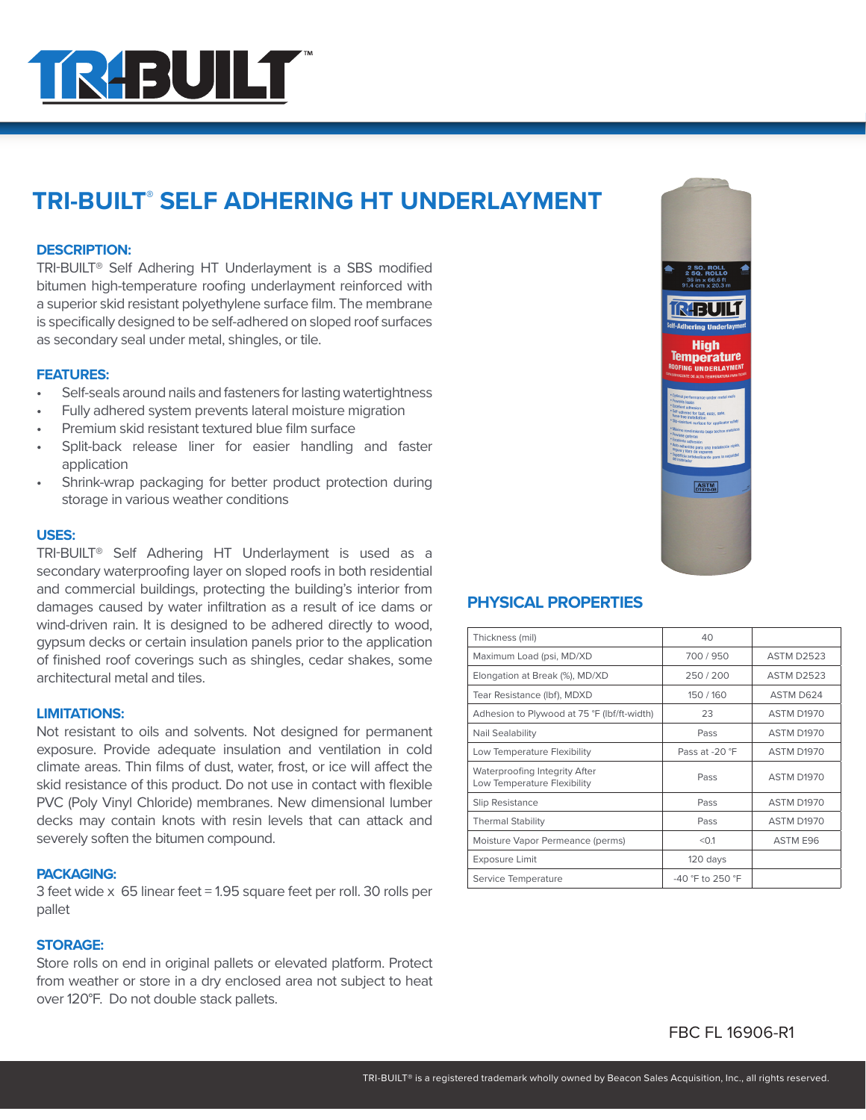

# **TRI-BUILT® SELF ADHERING HT UNDERLAYMENT**

### **DESCRIPTION:**

TRI-BUILT® Self Adhering HT Underlayment is a SBS modified bitumen high-temperature roofing underlayment reinforced with a superior skid resistant polyethylene surface film. The membrane is specifically designed to be self-adhered on sloped roof surfaces as secondary seal under metal, shingles, or tile.

### **FEATURES:**

- Self-seals around nails and fasteners for lasting watertightness
- Fully adhered system prevents lateral moisture migration
- Premium skid resistant textured blue film surface
- Split-back release liner for easier handling and faster application
- Shrink-wrap packaging for better product protection during storage in various weather conditions

#### **USES:**

TRI-BUILT® Self Adhering HT Underlayment is used as a secondary waterproofing layer on sloped roofs in both residential and commercial buildings, protecting the building's interior from damages caused by water infiltration as a result of ice dams or wind-driven rain. It is designed to be adhered directly to wood, gypsum decks or certain insulation panels prior to the application of finished roof coverings such as shingles, cedar shakes, some architectural metal and tiles.

### **LIMITATIONS:**

Not resistant to oils and solvents. Not designed for permanent exposure. Provide adequate insulation and ventilation in cold climate areas. Thin films of dust, water, frost, or ice will affect the skid resistance of this product. Do not use in contact with flexible PVC (Poly Vinyl Chloride) membranes. New dimensional lumber decks may contain knots with resin levels that can attack and severely soften the bitumen compound.

#### **PACKAGING:**

3 feet wide x 65 linear feet = 1.95 square feet per roll. 30 rolls per pallet

### **STORAGE:**

Store rolls on end in original pallets or elevated platform. Protect from weather or store in a dry enclosed area not subject to heat over 120°F. Do not double stack pallets.



# **PHYSICAL PROPERTIES**

| Thickness (mil)                                              | 40                 |                   |
|--------------------------------------------------------------|--------------------|-------------------|
| Maximum Load (psi, MD/XD                                     | 700/950            | <b>ASTM D2523</b> |
| Elongation at Break (%), MD/XD                               | 250/200            | <b>ASTM D2523</b> |
| Tear Resistance (Ibf), MDXD                                  | 150/160            | ASTM D624         |
| Adhesion to Plywood at 75 °F (lbf/ft-width)                  | 23                 | <b>ASTM D1970</b> |
| Nail Sealability                                             | Pass               | <b>ASTM D1970</b> |
| Low Temperature Flexibility                                  | Pass at -20 °F     | <b>ASTM D1970</b> |
| Waterproofing Integrity After<br>Low Temperature Flexibility | Pass               | ASTM D1970        |
| Slip Resistance                                              | Pass               | <b>ASTM D1970</b> |
| <b>Thermal Stability</b>                                     | Pass               | <b>ASTM D1970</b> |
| Moisture Vapor Permeance (perms)                             | < 0.1              | ASTM E96          |
| <b>Exposure Limit</b>                                        | 120 days           |                   |
| Service Temperature                                          | $-40$ °F to 250 °F |                   |

# FBC FL 16906-R1